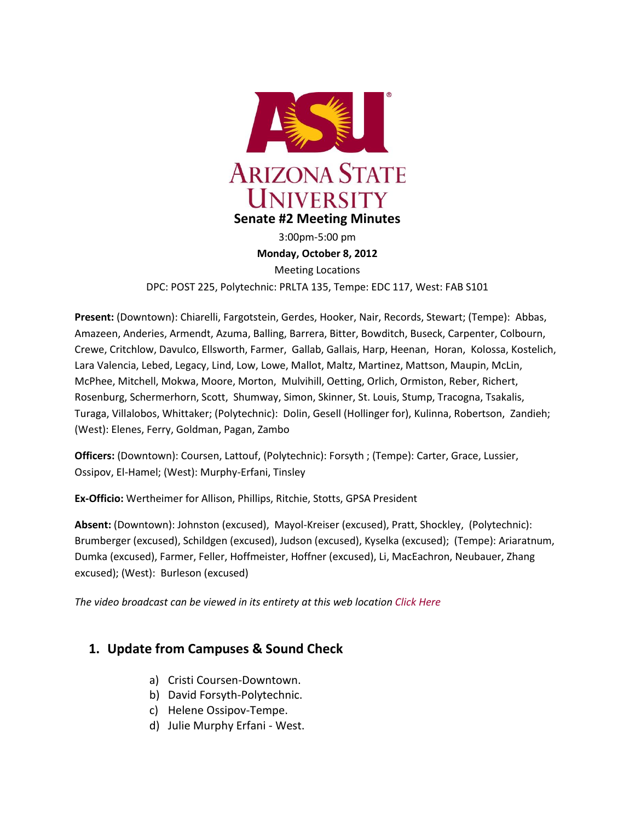

3:00pm-5:00 pm **Monday, October 8, 2012** Meeting Locations

DPC: POST 225, Polytechnic: PRLTA 135, Tempe: EDC 117, West: FAB S101

**Present:** (Downtown): Chiarelli, Fargotstein, Gerdes, Hooker, Nair, Records, Stewart; (Tempe): Abbas, Amazeen, Anderies, Armendt, Azuma, Balling, Barrera, Bitter, Bowditch, Buseck, Carpenter, Colbourn, Crewe, Critchlow, Davulco, Ellsworth, Farmer, Gallab, Gallais, Harp, Heenan, Horan, Kolossa, Kostelich, Lara Valencia, Lebed, Legacy, Lind, Low, Lowe, Mallot, Maltz, Martinez, Mattson, Maupin, McLin, McPhee, Mitchell, Mokwa, Moore, Morton, Mulvihill, Oetting, Orlich, Ormiston, Reber, Richert, Rosenburg, Schermerhorn, Scott, Shumway, Simon, Skinner, St. Louis, Stump, Tracogna, Tsakalis, Turaga, Villalobos, Whittaker; (Polytechnic): Dolin, Gesell (Hollinger for), Kulinna, Robertson, Zandieh; (West): Elenes, Ferry, Goldman, Pagan, Zambo

**Officers:** (Downtown): Coursen, Lattouf, (Polytechnic): Forsyth ; (Tempe): Carter, Grace, Lussier, Ossipov, El-Hamel; (West): Murphy-Erfani, Tinsley

**Ex-Officio:** Wertheimer for Allison, Phillips, Ritchie, Stotts, GPSA President

**Absent:** (Downtown): Johnston (excused), Mayol-Kreiser (excused), Pratt, Shockley, (Polytechnic): Brumberger (excused), Schildgen (excused), Judson (excused), Kyselka (excused); (Tempe): Ariaratnum, Dumka (excused), Farmer, Feller, Hoffmeister, Hoffner (excused), Li, MacEachron, Neubauer, Zhang excused); (West): Burleson (excused)

*The video broadcast can be viewed in its entirety at this web location [Click Here](http://usenate.asu.edu/videos)*

## **1. Update from Campuses & Sound Check**

- a) Cristi Coursen-Downtown.
- b) David Forsyth-Polytechnic.
- c) Helene Ossipov-Tempe.
- d) Julie Murphy Erfani West.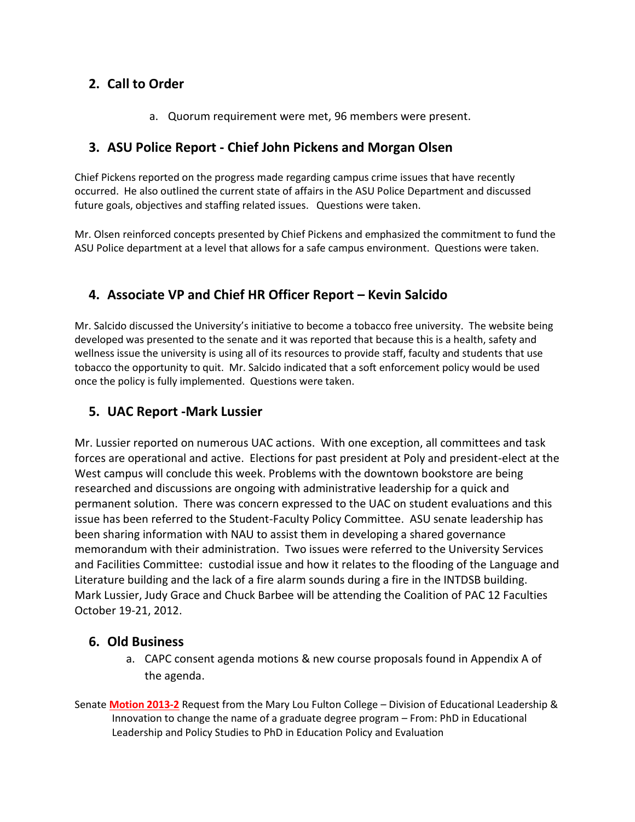# **2. Call to Order**

a. Quorum requirement were met, 96 members were present.

# **3. ASU Police Report - Chief John Pickens and Morgan Olsen**

Chief Pickens reported on the progress made regarding campus crime issues that have recently occurred. He also outlined the current state of affairs in the ASU Police Department and discussed future goals, objectives and staffing related issues. Questions were taken.

Mr. Olsen reinforced concepts presented by Chief Pickens and emphasized the commitment to fund the ASU Police department at a level that allows for a safe campus environment. Questions were taken.

# **4. Associate VP and Chief HR Officer Report – Kevin Salcido**

Mr. Salcido discussed the University's initiative to become a tobacco free university. The website being developed was presented to the senate and it was reported that because this is a health, safety and wellness issue the university is using all of its resources to provide staff, faculty and students that use tobacco the opportunity to quit. Mr. Salcido indicated that a soft enforcement policy would be used once the policy is fully implemented. Questions were taken.

# **5. UAC Report -Mark Lussier**

Mr. Lussier reported on numerous UAC actions. With one exception, all committees and task forces are operational and active. Elections for past president at Poly and president-elect at the West campus will conclude this week. Problems with the downtown bookstore are being researched and discussions are ongoing with administrative leadership for a quick and permanent solution. There was concern expressed to the UAC on student evaluations and this issue has been referred to the Student-Faculty Policy Committee. ASU senate leadership has been sharing information with NAU to assist them in developing a shared governance memorandum with their administration. Two issues were referred to the University Services and Facilities Committee: custodial issue and how it relates to the flooding of the Language and Literature building and the lack of a fire alarm sounds during a fire in the INTDSB building. Mark Lussier, Judy Grace and Chuck Barbee will be attending the Coalition of PAC 12 Faculties October 19-21, 2012.

## **6. Old Business**

- a. CAPC consent agenda motions & new course proposals found in Appendix A of the agenda.
- Senate **[Motion 2013-2](http://usenate.asu.edu/node/4419)** Request from the Mary Lou Fulton College Division of Educational Leadership & Innovation to change the name of a graduate degree program – From: PhD in Educational Leadership and Policy Studies to PhD in Education Policy and Evaluation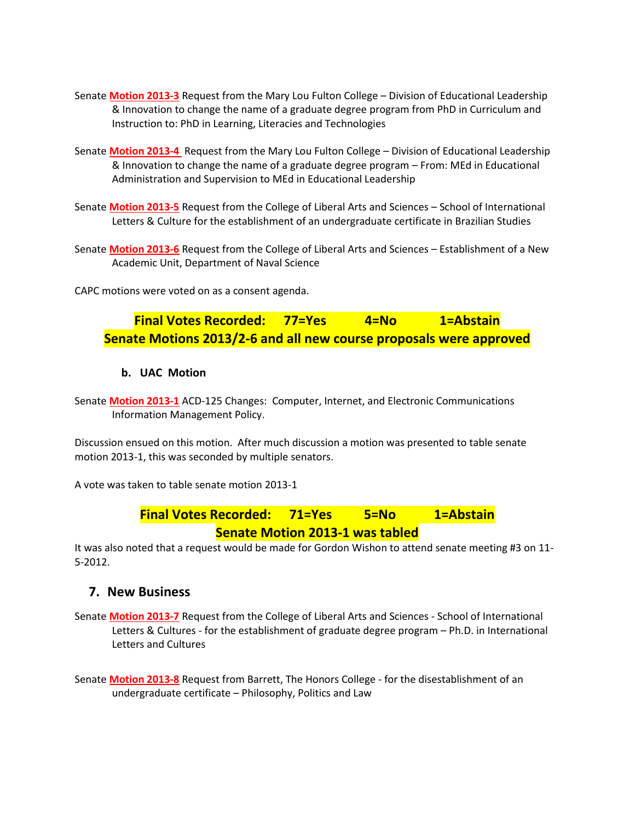- Senate **[Motion 2013-3](http://usenate.asu.edu/node/4420)** Request from the Mary Lou Fulton College Division of Educational Leadership & Innovation to change the name of a graduate degree program from PhD in Curriculum and Instruction to: PhD in Learning, Literacies and Technologies
- Senate **[Motion 2013-4](http://usenate.asu.edu/node/4421)** Request from the Mary Lou Fulton College Division of Educational Leadership & Innovation to change the name of a graduate degree program – From: MEd in Educational Administration and Supervision to MEd in Educational Leadership
- Senate **[Motion 2013-5](http://usenate.asu.edu/node/4422)** Request from the College of Liberal Arts and Sciences School of International Letters & Culture for the establishment of an undergraduate certificate in Brazilian Studies
- Senate **[Motion 2013-6](http://usenate.asu.edu/node/4423)** Request from the College of Liberal Arts and Sciences Establishment of a New Academic Unit, Department of Naval Science

CAPC motions were voted on as a consent agenda.

# **Final Votes Recorded: 77=Yes 4=No 1=Abstain Senate Motions 2013/2-6 and all new course proposals were approved**

#### **b. UAC Motion**

Senate **[Motion 2013-1](http://usenate.asu.edu/node/4424)** ACD-125 Changes: Computer, Internet, and Electronic Communications Information Management Policy.

Discussion ensued on this motion. After much discussion a motion was presented to table senate motion 2013-1, this was seconded by multiple senators.

A vote was taken to table senate motion 2013-1

# **Final Votes Recorded: 71=Yes 5=No 1=Abstain Senate Motion 2013-1 was tabled**

It was also noted that a request would be made for Gordon Wishon to attend senate meeting #3 on 11- 5-2012.

#### **7. New Business**

Senate **[Motion 2013-7](http://usenate.asu.edu/node/4433)** Request from the College of Liberal Arts and Sciences - School of International Letters & Cultures - for the establishment of graduate degree program – Ph.D. in International Letters and Cultures

Senate **[Motion 2013-8](http://usenate.asu.edu/node/4434)** Request from Barrett, The Honors College - for the disestablishment of an undergraduate certificate – Philosophy, Politics and Law